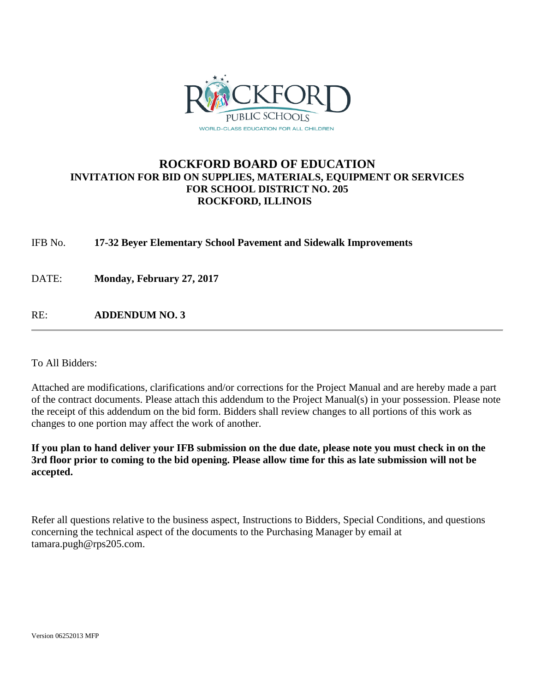

## **ROCKFORD BOARD OF EDUCATION INVITATION FOR BID ON SUPPLIES, MATERIALS, EQUIPMENT OR SERVICES FOR SCHOOL DISTRICT NO. 205 ROCKFORD, ILLINOIS**

IFB No. **17-32 Beyer Elementary School Pavement and Sidewalk Improvements**

DATE: **Monday, February 27, 2017**

RE: **ADDENDUM NO. 3**

To All Bidders:

Attached are modifications, clarifications and/or corrections for the Project Manual and are hereby made a part of the contract documents. Please attach this addendum to the Project Manual(s) in your possession. Please note the receipt of this addendum on the bid form. Bidders shall review changes to all portions of this work as changes to one portion may affect the work of another.

**If you plan to hand deliver your IFB submission on the due date, please note you must check in on the 3rd floor prior to coming to the bid opening. Please allow time for this as late submission will not be accepted.**

Refer all questions relative to the business aspect, Instructions to Bidders, Special Conditions, and questions concerning the technical aspect of the documents to the Purchasing Manager by email at tamara.pugh@rps205.com.